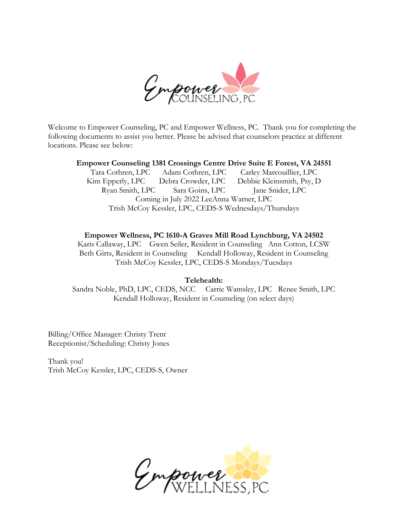

Welcome to Empower Counseling, PC and Empower Wellness, PC. Thank you for completing the following documents to assist you better. Please be advised that counselors practice at different locations. Please see below:

### **Empower Counseling 1381 Crossings Centre Drive Suite E Forest, VA 24551**

Tara Cothren, LPC Adam Cothren, LPC Carley Marcouillier, LPC Kim Epperly, LPC Debra Crowder, LPC Debbie Kleinsmith, Psy, D Ryan Smith, LPC Sara Goins, LPC Jane Snider, LPC Coming in July 2022 LeeAnna Warner, LPC Trish McCoy Kessler, LPC, CEDS-S Wednesdays/Thursdays

### **Empower Wellness, PC 1610-A Graves Mill Road Lynchburg, VA 24502**

Karis Callaway, LPC Gwen Seiler, Resident in Counseling Ann Cotton, LCSW Beth Girts, Resident in Counseling Kendall Holloway, Resident in Counseling Trish McCoy Kessler, LPC, CEDS-S Mondays/Tuesdays

### **Telehealth:**

Sandra Noble, PhD, LPC, CEDS, NCC Carrie Wamsley, LPC Renee Smith, LPC Kendall Holloway, Resident in Counseling (on select days)

Billing/Office Manager: Christy Trent Receptionist/Scheduling: Christy Jones

Thank you! Trish McCoy Kessler, LPC, CEDS-S, Owner

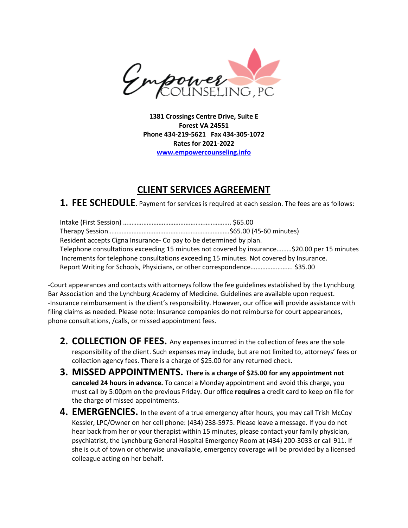

**1381 Crossings Centre Drive, Suite E Forest VA 24551 Phone 434-219-5621 Fax 434-305-1072 Rates for 2021-2022 [www.empowercounseling.info](http://www.empowercounseling.info/)**

# **CLIENT SERVICES AGREEMENT**

**1. FEE SCHEDULE**. Payment for services is required at each session. The fees are as follows:

Intake (First Session) ………………………………………………………. \$65.00 Therapy Session………………………………………………………………\$65.00 (45-60 minutes) Resident accepts Cigna Insurance- Co pay to be determined by plan. Telephone consultations exceeding 15 minutes not covered by insurance………\$20.00 per 15 minutes Increments for telephone consultations exceeding 15 minutes. Not covered by Insurance. Report Writing for Schools, Physicians, or other correspondence……………………. \$35.00

-Court appearances and contacts with attorneys follow the fee guidelines established by the Lynchburg Bar Association and the Lynchburg Academy of Medicine. Guidelines are available upon request. -Insurance reimbursement is the client's responsibility. However, our office will provide assistance with filing claims as needed. Please note: Insurance companies do not reimburse for court appearances, phone consultations, /calls, or missed appointment fees.

- **2. COLLECTION OF FEES.** Any expenses incurred in the collection of fees are the sole responsibility of the client. Such expenses may include, but are not limited to, attorneys' fees or collection agency fees. There is a charge of \$25.00 for any returned check.
- **3. MISSED APPOINTMENTS. There is a charge of \$25.00 for any appointment not canceled 24 hours in advance.** To cancel a Monday appointment and avoid this charge, you must call by 5:00pm on the previous Friday. Our office **requires** a credit card to keep on file for the charge of missed appointments.
- **4. EMERGENCIES.** In the event of a true emergency after hours, you may call Trish McCoy Kessler, LPC/Owner on her cell phone: (434) 238-5975. Please leave a message. If you do not hear back from her or your therapist within 15 minutes, please contact your family physician, psychiatrist, the Lynchburg General Hospital Emergency Room at (434) 200-3033 or call 911. If she is out of town or otherwise unavailable, emergency coverage will be provided by a licensed colleague acting on her behalf.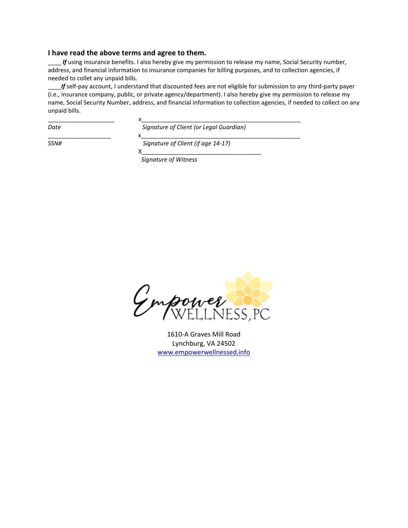#### **I have read the above terms and agree to them.**

*If* using insurance benefits. I also hereby give my permission to release my name, Social Security number, address, and financial information to insurance companies for billing purposes, and to collection agencies, if needed to collet any unpaid bills.

\_\_\_\_*If* self-pay account, I understand that discounted fees are not eligible for submission to any third-party payer (i.e., insurance company, public, or private agency/department). I also hereby give my permission to release my name, Social Security Number, address, and financial information to collection agencies, if needed to collect on any unpaid bills.

| Date | Signature of Client (or Legal Guardian) |
|------|-----------------------------------------|

*Date Signature of Client (or Legal Guardian)*  \_\_\_\_\_\_\_\_\_\_\_\_\_\_\_\_\_\_\_ x\_\_\_\_\_\_\_\_\_\_\_\_\_\_\_\_\_\_\_\_\_\_\_\_\_\_\_\_\_\_\_\_\_\_\_\_\_\_\_\_\_\_\_\_\_\_\_\_

*SSN# Signature of Client (if age 14-17)* 

 $X$  , and the set of  $X$  , and the set of  $X$  , and the set of  $X$  , and the set of  $X$  , and the set of  $X$ *Signature of Witness* 

Impower

1610-A Graves Mill Road Lynchburg, VA 24502 [www.empowerwellnessed.info](http://www.empowerwellnessed.info/)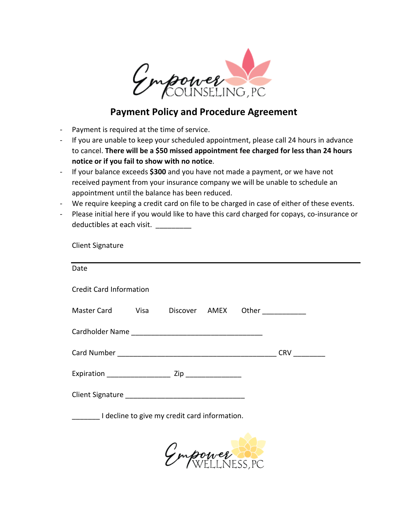

# **Payment Policy and Procedure Agreement**

- Payment is required at the time of service.

Client Signature

- If you are unable to keep your scheduled appointment, please call 24 hours in advance to cancel. **There will be a \$50 missed appointment fee charged for less than 24 hours notice or if you fail to show with no notice**.
- If your balance exceeds **\$300** and you have not made a payment, or we have not received payment from your insurance company we will be unable to schedule an appointment until the balance has been reduced.
- We require keeping a credit card on file to be charged in case of either of these events.
- Please initial here if you would like to have this card charged for copays, co-insurance or deductibles at each visit.

| Other      |
|------------|
|            |
| <b>CRV</b> |
|            |
|            |
|            |
|            |

Empower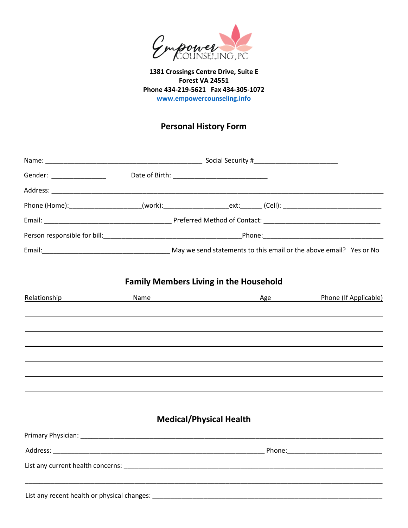

1381 Crossings Centre Drive, Suite E Forest VA 24551 Phone 434-219-5621 Fax 434-305-1072 www.empowercounseling.info

# **Personal History Form**

| Phone (Home):_____________________(work):____________________ext:_______(Cell): ______________________________ |                                               |                                     |
|----------------------------------------------------------------------------------------------------------------|-----------------------------------------------|-------------------------------------|
|                                                                                                                |                                               |                                     |
|                                                                                                                |                                               |                                     |
|                                                                                                                |                                               |                                     |
|                                                                                                                | <b>Family Members Living in the Household</b> |                                     |
| Relationship <b>Relationship</b>                                                                               |                                               | Name Mame Age Phone (If Applicable) |
|                                                                                                                |                                               |                                     |
|                                                                                                                |                                               |                                     |
|                                                                                                                |                                               |                                     |
|                                                                                                                |                                               |                                     |
|                                                                                                                |                                               |                                     |
|                                                                                                                |                                               |                                     |
|                                                                                                                |                                               |                                     |
|                                                                                                                | <b>Medical/Physical Health</b>                |                                     |
|                                                                                                                |                                               |                                     |
|                                                                                                                |                                               |                                     |
|                                                                                                                |                                               |                                     |
|                                                                                                                |                                               |                                     |
| List any recent health or physical changes:                                                                    |                                               |                                     |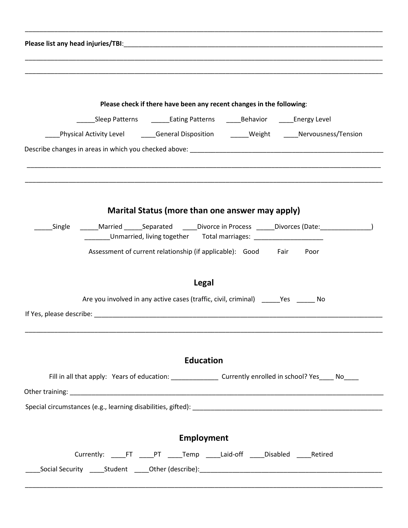|                                                                                                                | Please check if there have been any recent changes in the following:                 |                                                      |
|----------------------------------------------------------------------------------------------------------------|--------------------------------------------------------------------------------------|------------------------------------------------------|
|                                                                                                                | _____Sleep Patterns    _______Eating Patterns    ______Behavior    _____Energy Level |                                                      |
| Physical Activity Level _______General Disposition _______Weight ______Nervousness/Tension                     |                                                                                      |                                                      |
|                                                                                                                |                                                                                      |                                                      |
|                                                                                                                |                                                                                      |                                                      |
|                                                                                                                | Marital Status (more than one answer may apply)                                      |                                                      |
| Single                                                                                                         | _____Unmarried, living together Total marriages: _______________________________     | Married Separated Divorce in Process Divorces (Date: |
|                                                                                                                | Assessment of current relationship (if applicable): Good Fair Poor                   |                                                      |
|                                                                                                                | <b>Legal</b>                                                                         |                                                      |
|                                                                                                                | Are you involved in any active cases (traffic, civil, criminal) Yes No               |                                                      |
| If Yes, please describe: The according of the state of the state of the state of the state of the state of the |                                                                                      |                                                      |
|                                                                                                                |                                                                                      |                                                      |
|                                                                                                                |                                                                                      |                                                      |
|                                                                                                                | <b>Education</b>                                                                     |                                                      |
| Fill in all that apply: Years of education: ___________________ Currently enrolled in school? Yes_____ No_____ |                                                                                      |                                                      |
|                                                                                                                |                                                                                      |                                                      |
|                                                                                                                |                                                                                      |                                                      |
|                                                                                                                |                                                                                      |                                                      |
|                                                                                                                |                                                                                      |                                                      |
|                                                                                                                | <b>Employment</b>                                                                    |                                                      |
|                                                                                                                | Currently: _____FT _____PT _____Temp _____Laid-off _____Disabled _____Retired        |                                                      |
|                                                                                                                |                                                                                      |                                                      |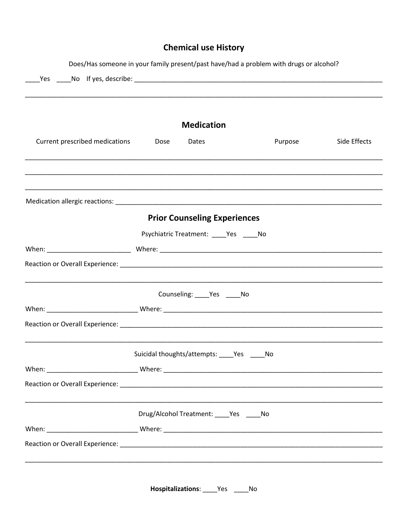# **Chemical use History**

|                                |                             |                                           | Does/Has someone in your family present/past have/had a problem with drugs or alcohol? |              |
|--------------------------------|-----------------------------|-------------------------------------------|----------------------------------------------------------------------------------------|--------------|
|                                |                             | <b>Medication</b>                         |                                                                                        |              |
| Current prescribed medications | Dose                        | Dates                                     | Purpose                                                                                | Side Effects |
|                                |                             |                                           |                                                                                        |              |
|                                |                             | <b>Prior Counseling Experiences</b>       |                                                                                        |              |
|                                |                             | Psychiatric Treatment: _____Yes _____No   |                                                                                        |              |
|                                |                             |                                           |                                                                                        |              |
|                                |                             |                                           |                                                                                        |              |
|                                |                             | Counseling: _____ Yes _____ No            |                                                                                        |              |
|                                |                             |                                           |                                                                                        |              |
|                                |                             |                                           |                                                                                        |              |
|                                | Suicidal thoughts/attempts: | Yes                                       | No                                                                                     |              |
|                                |                             |                                           |                                                                                        |              |
|                                |                             |                                           |                                                                                        |              |
|                                |                             | Drug/Alcohol Treatment: ____ Yes _____ No |                                                                                        |              |
|                                |                             |                                           |                                                                                        |              |
|                                |                             |                                           |                                                                                        |              |
|                                |                             |                                           |                                                                                        |              |

Hospitalizations: \_\_\_\_\_Yes \_\_\_\_\_No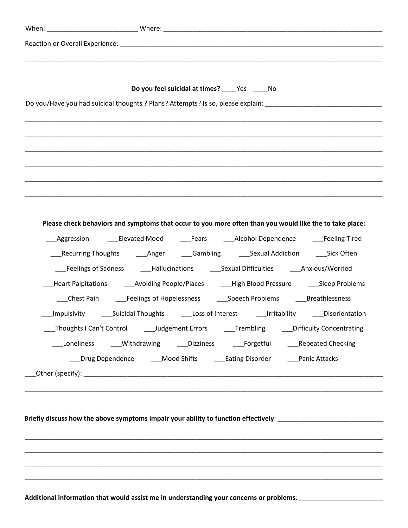| Do you feel suicidal at times? _____ Yes ______ No                                                                   |
|----------------------------------------------------------------------------------------------------------------------|
| Do you/Have you had suicidal thoughts ? Plans? Attempts? Is so, please explain: ______________________________       |
| <u> 1980 - Jan James James James James James James James James James James James James James James James James J</u> |
|                                                                                                                      |
|                                                                                                                      |
|                                                                                                                      |
|                                                                                                                      |
|                                                                                                                      |
|                                                                                                                      |
| Please check behaviors and symptoms that occur to you more often than you would like the to take place:              |
| _Aggression    ____Elevated Mood    ____Fears    ____Alcohol Dependence    ____Feeling Tired                         |
| ____Recurring Thoughts _______Anger _______Gambling _________Sexual Addiction _______Sick Often                      |
| ___Feelings of Sadness _____Hallucinations _______Sexual Difficulties _______Anxious/Worried                         |
| _Heart Palpitations    ____Avoiding People/Places    ____High Blood Pressure    ____Sleep Problems                   |
| ___Chest Pain ______Feelings of Hopelessness _________Speech Problems _______Breathlessness                          |
|                                                                                                                      |
| _Thoughts I Can't Control _______Judgement Errors _______Trembling _______Difficulty Concentrating                   |
| Loneliness ____Withdrawing ____Dizziness _____Forgetful _____Repeated Checking                                       |
| Drug Dependence Mood Shifts Eating Disorder Panic Attacks                                                            |
|                                                                                                                      |
|                                                                                                                      |
|                                                                                                                      |
| Briefly discuss how the above symptoms impair your ability to function effectively: __________________________       |
|                                                                                                                      |
|                                                                                                                      |
|                                                                                                                      |
|                                                                                                                      |
|                                                                                                                      |

**Additional information that would assist me in understanding your concerns or problems**: \_\_\_\_\_\_\_\_\_\_\_\_\_\_\_\_\_\_\_\_\_\_\_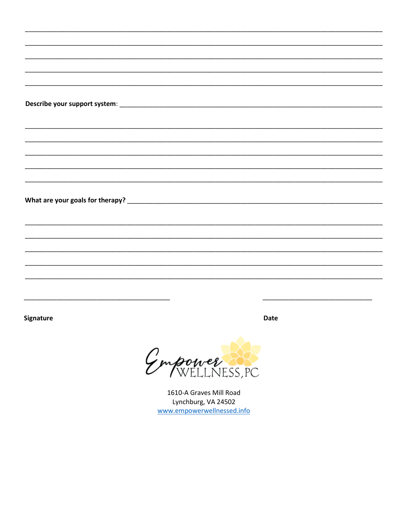Signature

**Date** 

Empower

1610-A Graves Mill Road Lynchburg, VA 24502 www.empowerwellnessed.info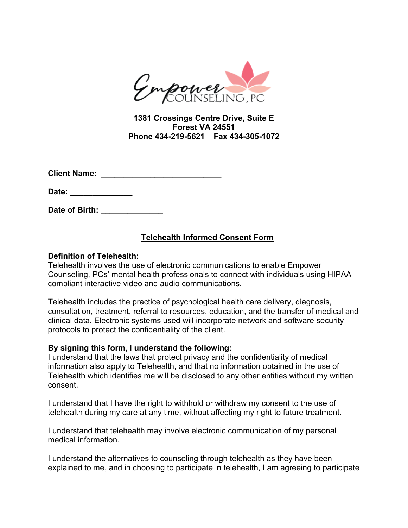

**1381 Crossings Centre Drive, Suite E Forest VA 24551 Phone 434-219-5621 Fax 434-305-1072**

**Client Name: \_\_\_\_\_\_\_\_\_\_\_\_\_\_\_\_\_\_\_\_\_\_\_\_\_\_\_** 

**Date: \_\_\_\_\_\_\_\_\_\_\_\_\_\_**

**Date of Birth: \_\_\_\_\_\_\_\_\_\_\_\_\_\_**

## **Telehealth Informed Consent Form**

### **Definition of Telehealth:**

Telehealth involves the use of electronic communications to enable Empower Counseling, PCs' mental health professionals to connect with individuals using HIPAA compliant interactive video and audio communications.

Telehealth includes the practice of psychological health care delivery, diagnosis, consultation, treatment, referral to resources, education, and the transfer of medical and clinical data. Electronic systems used will incorporate network and software security protocols to protect the confidentiality of the client.

### **By signing this form, I understand the following:**

I understand that the laws that protect privacy and the confidentiality of medical information also apply to Telehealth, and that no information obtained in the use of Telehealth which identifies me will be disclosed to any other entities without my written consent.

I understand that I have the right to withhold or withdraw my consent to the use of telehealth during my care at any time, without affecting my right to future treatment.

I understand that telehealth may involve electronic communication of my personal medical information.

I understand the alternatives to counseling through telehealth as they have been explained to me, and in choosing to participate in telehealth, I am agreeing to participate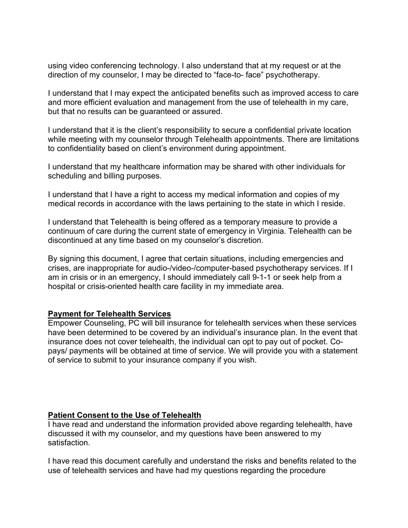using video conferencing technology. I also understand that at my request or at the direction of my counselor, I may be directed to "face-to- face" psychotherapy.

I understand that I may expect the anticipated benefits such as improved access to care and more efficient evaluation and management from the use of telehealth in my care, but that no results can be guaranteed or assured.

I understand that it is the client's responsibility to secure a confidential private location while meeting with my counselor through Telehealth appointments. There are limitations to confidentiality based on client's environment during appointment.

I understand that my healthcare information may be shared with other individuals for scheduling and billing purposes.

I understand that I have a right to access my medical information and copies of my medical records in accordance with the laws pertaining to the state in which I reside.

I understand that Telehealth is being offered as a temporary measure to provide a continuum of care during the current state of emergency in Virginia. Telehealth can be discontinued at any time based on my counselor's discretion.

By signing this document, I agree that certain situations, including emergencies and crises, are inappropriate for audio-/video-/computer-based psychotherapy services. If I am in crisis or in an emergency, I should immediately call 9-1-1 or seek help from a hospital or crisis-oriented health care facility in my immediate area.

### **Payment for Telehealth Services**

Empower Counseling, PC will bill insurance for telehealth services when these services have been determined to be covered by an individual's insurance plan. In the event that insurance does not cover telehealth, the individual can opt to pay out of pocket. Copays/ payments will be obtained at time of service. We will provide you with a statement of service to submit to your insurance company if you wish.

### **Patient Consent to the Use of Telehealth**

I have read and understand the information provided above regarding telehealth, have discussed it with my counselor, and my questions have been answered to my satisfaction.

I have read this document carefully and understand the risks and benefits related to the use of telehealth services and have had my questions regarding the procedure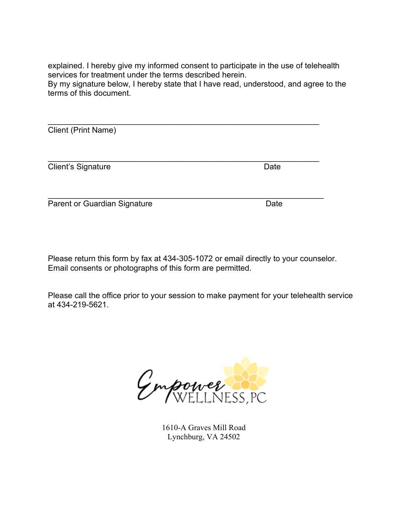explained. I hereby give my informed consent to participate in the use of telehealth services for treatment under the terms described herein.

By my signature below, I hereby state that I have read, understood, and agree to the terms of this document.

\_\_\_\_\_\_\_\_\_\_\_\_\_\_\_\_\_\_\_\_\_\_\_\_\_\_\_\_\_\_\_\_\_\_\_\_\_\_\_\_\_\_\_\_\_\_\_\_\_\_\_\_\_\_\_\_\_\_\_\_\_ Client (Print Name)

\_\_\_\_\_\_\_\_\_\_\_\_\_\_\_\_\_\_\_\_\_\_\_\_\_\_\_\_\_\_\_\_\_\_\_\_\_\_\_\_\_\_\_\_\_\_\_\_\_\_\_\_\_\_\_\_\_\_\_\_\_ **Client's Signature Date** 

Parent or Guardian Signature Date

Please return this form by fax at 434-305-1072 or email directly to your counselor. Email consents or photographs of this form are permitted.

Please call the office prior to your session to make payment for your telehealth service at 434-219-5621.

Empower SP

1610-A Graves Mill Road Lynchburg, VA 24502

\_\_\_\_\_\_\_\_\_\_\_\_\_\_\_\_\_\_\_\_\_\_\_\_\_\_\_\_\_\_\_\_\_\_\_\_\_\_\_\_\_\_\_\_\_\_\_\_\_\_\_\_\_\_\_\_\_\_\_\_\_\_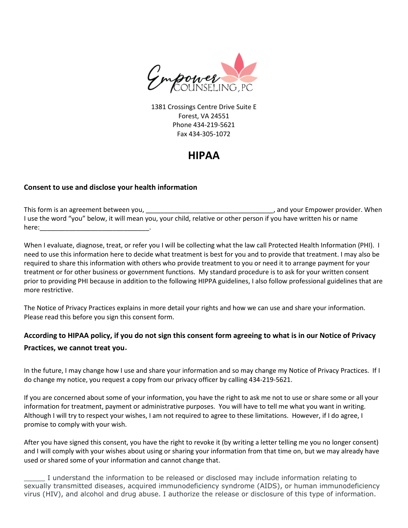

1381 Crossings Centre Drive Suite E Forest, VA 24551 Phone 434-219-5621 Fax 434-305-1072

# **HIPAA**

### **Consent to use and disclose your health information**

This form is an agreement between you, the same of the same of the same of the same of the same of the same of the same of the same of the same of the same of the same of the same of the same of the same of the same of the I use the word "you" below, it will mean you, your child, relative or other person if you have written his or name here:\_\_\_\_\_\_\_\_\_\_\_\_\_\_\_\_\_\_\_\_\_\_\_\_\_\_\_\_\_\_.

When I evaluate, diagnose, treat, or refer you I will be collecting what the law call Protected Health Information (PHI). I need to use this information here to decide what treatment is best for you and to provide that treatment. I may also be required to share this information with others who provide treatment to you or need it to arrange payment for your treatment or for other business or government functions. My standard procedure is to ask for your written consent prior to providing PHI because in addition to the following HIPPA guidelines, I also follow professional guidelines that are more restrictive.

The Notice of Privacy Practices explains in more detail your rights and how we can use and share your information. Please read this before you sign this consent form.

## **According to HIPAA policy, if you do not sign this consent form agreeing to what is in our Notice of Privacy Practices, we cannot treat you**.

In the future, I may change how I use and share your information and so may change my Notice of Privacy Practices. If I do change my notice, you request a copy from our privacy officer by calling 434-219-5621.

If you are concerned about some of your information, you have the right to ask me not to use or share some or all your information for treatment, payment or administrative purposes. You will have to tell me what you want in writing. Although I will try to respect your wishes, I am not required to agree to these limitations. However, if I do agree, I promise to comply with your wish.

After you have signed this consent, you have the right to revoke it (by writing a letter telling me you no longer consent) and I will comply with your wishes about using or sharing your information from that time on, but we may already have used or shared some of your information and cannot change that.

I understand the information to be released or disclosed may include information relating to sexually transmitted diseases, acquired immunodeficiency syndrome (AIDS), or human immunodeficiency virus (HIV), and alcohol and drug abuse. I authorize the release or disclosure of this type of information.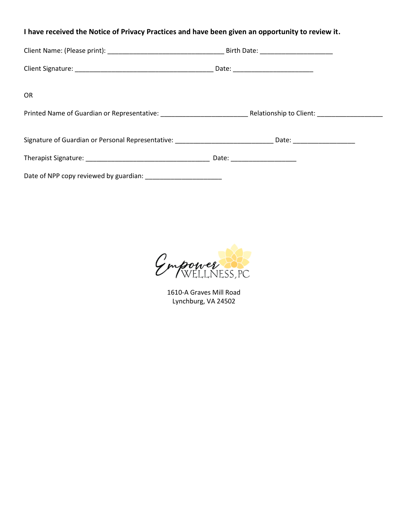### **I have received the Notice of Privacy Practices and have been given an opportunity to review it**.

| <b>OR</b>                                                                                                      |                               |  |
|----------------------------------------------------------------------------------------------------------------|-------------------------------|--|
|                                                                                                                |                               |  |
| Signature of Guardian or Personal Representative: _________________________________Date: _____________________ |                               |  |
|                                                                                                                | Date: _______________________ |  |
| Date of NPP copy reviewed by guardian: __________________________                                              |                               |  |

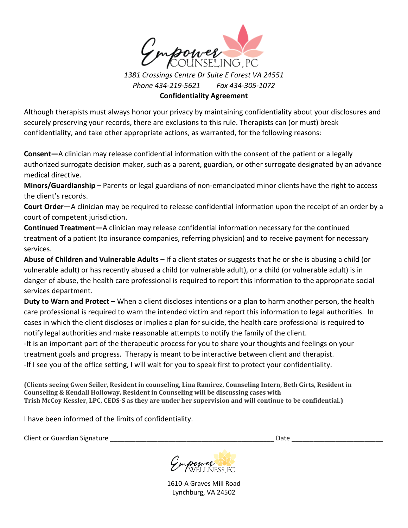

*Phone 434-219-5621 Fax 434-305-1072* **Confidentiality Agreement**

Although therapists must always honor your privacy by maintaining confidentiality about your disclosures and securely preserving your records, there are exclusions to this rule. Therapists can (or must) break confidentiality, and take other appropriate actions, as warranted, for the following reasons:

**Consent—**A clinician may release confidential information with the consent of the patient or a legally authorized surrogate decision maker, such as a parent, guardian, or other surrogate designated by an advance medical directive.

**Minors/Guardianship –** Parents or legal guardians of non-emancipated minor clients have the right to access the client's records.

**Court Order—**A clinician may be required to release confidential information upon the receipt of an order by a court of competent jurisdiction.

**Continued Treatment—**A clinician may release confidential information necessary for the continued treatment of a patient (to insurance companies, referring physician) and to receive payment for necessary services.

**Abuse of Children and Vulnerable Adults –** If a client states or suggests that he or she is abusing a child (or vulnerable adult) or has recently abused a child (or vulnerable adult), or a child (or vulnerable adult) is in danger of abuse, the health care professional is required to report this information to the appropriate social services department.

**Duty to Warn and Protect –** When a client discloses intentions or a plan to harm another person, the health care professional is required to warn the intended victim and report this information to legal authorities. In cases in which the client discloses or implies a plan for suicide, the health care professional is required to notify legal authorities and make reasonable attempts to notify the family of the client.

-It is an important part of the therapeutic process for you to share your thoughts and feelings on your treatment goals and progress. Therapy is meant to be interactive between client and therapist. -If I see you of the office setting, I will wait for you to speak first to protect your confidentiality.

**(Clients seeing Gwen Seiler, Resident in counseling, Lina Ramirez, Counseling Intern, Beth Girts, Resident in Counseling & Kendall Holloway, Resident in Counseling will be discussing cases with Trish McCoy Kessler, LPC, CEDS-S as they are under her supervision and will continue to be confidential.)**

I have been informed of the limits of confidentiality.

Client or Guardian Signature et al. 2011 and 2012 and 2012 and 2012 and 2012 and 2012 and 2012 and 2012 and 20

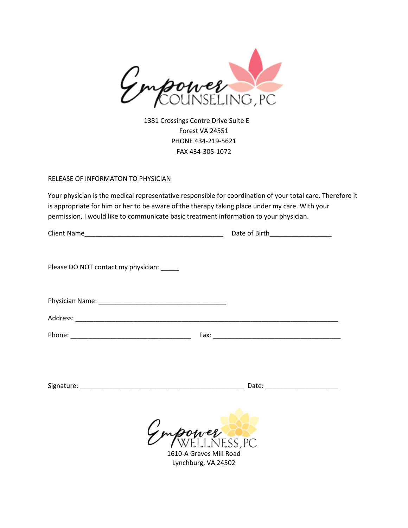

1381 Crossings Centre Drive Suite E Forest VA 24551 PHONE 434-219-5621 FAX 434-305-1072

### RELEASE OF INFORMATON TO PHYSICIAN

Your physician is the medical representative responsible for coordination of your total care. Therefore it is appropriate for him or her to be aware of the therapy taking place under my care. With your permission, I would like to communicate basic treatment information to your physician.

Client Name\_\_\_\_\_\_\_\_\_\_\_\_\_\_\_\_\_\_\_\_\_\_\_\_\_\_\_\_\_\_\_\_\_\_\_\_\_\_ Date of Birth\_\_\_\_\_\_\_\_\_\_\_\_\_\_\_\_\_

| <b>Client Name</b> |  |
|--------------------|--|
|                    |  |

Please DO NOT contact my physician: \_\_\_\_\_

| Physician Name: |
|-----------------|
|-----------------|

Address: \_\_\_\_\_\_\_\_\_\_\_\_\_\_\_\_\_\_\_\_\_\_\_\_\_\_\_\_\_\_\_\_\_\_\_\_\_\_\_\_\_\_\_\_\_\_\_\_\_\_\_\_\_\_\_\_\_\_\_\_\_\_\_\_\_\_\_\_\_\_\_\_

Phone: \_\_\_\_\_\_\_\_\_\_\_\_\_\_\_\_\_\_\_\_\_\_\_\_\_\_\_\_\_\_\_\_\_ Fax: \_\_\_\_\_\_\_\_\_\_\_\_\_\_\_\_\_\_\_\_\_\_\_\_\_\_\_\_\_\_\_\_\_\_\_

Signature: \_\_\_\_\_\_\_\_\_\_\_\_\_\_\_\_\_\_\_\_\_\_\_\_\_\_\_\_\_\_\_\_\_\_\_\_\_\_\_\_\_\_\_\_\_ Date: \_\_\_\_\_\_\_\_\_\_\_\_\_\_\_\_\_\_\_\_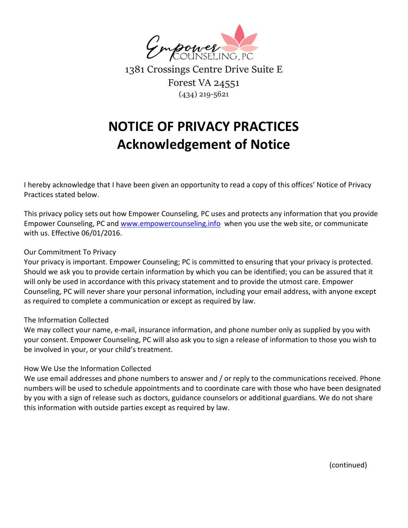

1381 Crossings Centre Drive Suite E Forest VA 24551 (434) 219-5621

# **NOTICE OF PRIVACY PRACTICES Acknowledgement of Notice**

I hereby acknowledge that I have been given an opportunity to read a copy of this offices' Notice of Privacy Practices stated below.

This privacy policy sets out how Empower Counseling, PC uses and protects any information that you provide Empower Counseling, PC and [www.empowercounseling.info](http://www.empowercounseling.info/) when you use the web site, or communicate with us. Effective 06/01/2016.

### Our Commitment To Privacy

Your privacy is important. Empower Counseling; PC is committed to ensuring that your privacy is protected. Should we ask you to provide certain information by which you can be identified; you can be assured that it will only be used in accordance with this privacy statement and to provide the utmost care. Empower Counseling, PC will never share your personal information, including your email address, with anyone except as required to complete a communication or except as required by law.

### The Information Collected

We may collect your name, e-mail, insurance information, and phone number only as supplied by you with your consent. Empower Counseling, PC will also ask you to sign a release of information to those you wish to be involved in your, or your child's treatment.

### How We Use the Information Collected

We use email addresses and phone numbers to answer and / or reply to the communications received. Phone numbers will be used to schedule appointments and to coordinate care with those who have been designated by you with a sign of release such as doctors, guidance counselors or additional guardians. We do not share this information with outside parties except as required by law.

(continued)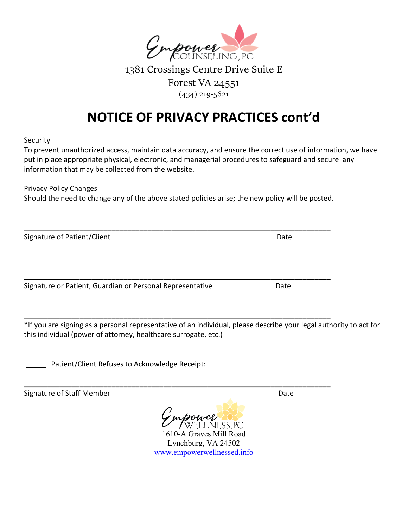

1381 Crossings Centre Drive Suite E Forest VA 24551 (434) 219-5621

# **NOTICE OF PRIVACY PRACTICES cont'd**

Security

To prevent unauthorized access, maintain data accuracy, and ensure the correct use of information, we have put in place appropriate physical, electronic, and managerial procedures to safeguard and secure any information that may be collected from the website.

Privacy Policy Changes

Should the need to change any of the above stated policies arise; the new policy will be posted.

\_\_\_\_\_\_\_\_\_\_\_\_\_\_\_\_\_\_\_\_\_\_\_\_\_\_\_\_\_\_\_\_\_\_\_\_\_\_\_\_\_\_\_\_\_\_\_\_\_\_\_\_\_\_\_\_\_\_\_\_\_\_\_\_\_\_\_\_\_\_\_\_\_\_\_\_\_

\_\_\_\_\_\_\_\_\_\_\_\_\_\_\_\_\_\_\_\_\_\_\_\_\_\_\_\_\_\_\_\_\_\_\_\_\_\_\_\_\_\_\_\_\_\_\_\_\_\_\_\_\_\_\_\_\_\_\_\_\_\_\_\_\_\_\_\_\_\_\_\_\_\_\_\_\_

\_\_\_\_\_\_\_\_\_\_\_\_\_\_\_\_\_\_\_\_\_\_\_\_\_\_\_\_\_\_\_\_\_\_\_\_\_\_\_\_\_\_\_\_\_\_\_\_\_\_\_\_\_\_\_\_\_\_\_\_\_\_\_\_\_\_\_\_\_\_\_\_\_\_\_\_\_

\_\_\_\_\_\_\_\_\_\_\_\_\_\_\_\_\_\_\_\_\_\_\_\_\_\_\_\_\_\_\_\_\_\_\_\_\_\_\_\_\_\_\_\_\_\_\_\_\_\_\_\_\_\_\_\_\_\_\_\_\_\_\_\_\_\_\_\_\_\_\_\_\_\_\_\_\_

Signature of Patient/Client Date Date Date Date

Signature or Patient, Guardian or Personal Representative **Date** Date

\*If you are signing as a personal representative of an individual, please describe your legal authority to act for this individual (power of attorney, healthcare surrogate, etc.)

Patient/Client Refuses to Acknowledge Receipt:

Signature of Staff Member **Date** Date Date

rower 1610-A Graves Mill Road

Lynchburg, VA 24502 [www.empowerwellnessed.info](http://www.empowerwellnessed.info/)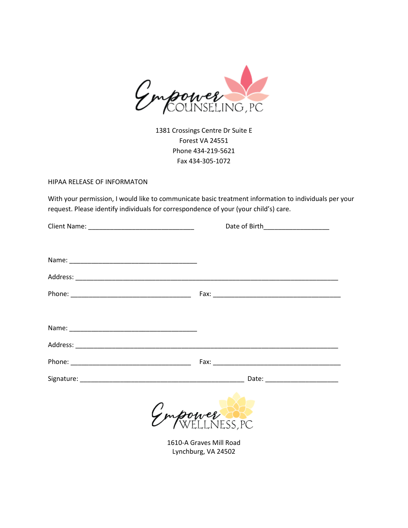

1381 Crossings Centre Dr Suite E Forest VA 24551 Phone 434-219-5621 Fax 434-305-1072

### HIPAA RELEASE OF INFORMATON

With your permission, I would like to communicate basic treatment information to individuals per your request. Please identify individuals for correspondence of your (your child's) care.

| Date of Birth____________________ |
|-----------------------------------|
|                                   |
|                                   |
|                                   |
|                                   |
|                                   |
|                                   |
|                                   |
|                                   |
|                                   |
| Empower                           |